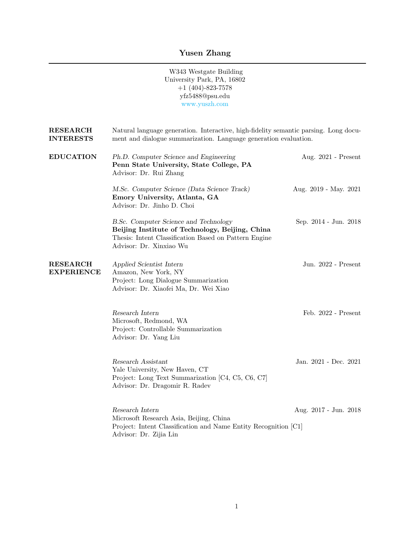## Yusen Zhang

W343 Westgate Building University Park, PA, 16802  $+1$  (404)-823-7578 yfz5488@psu.edu <www.yuszh.com>

| <b>RESEARCH</b><br><b>INTERESTS</b>  | Natural language generation. Interactive, high-fidelity semantic parsing. Long docu-<br>ment and dialogue summarization. Language generation evaluation.                     |                       |
|--------------------------------------|------------------------------------------------------------------------------------------------------------------------------------------------------------------------------|-----------------------|
| <b>EDUCATION</b>                     | Ph.D. Computer Science and Engineering<br>Penn State University, State College, PA<br>Advisor: Dr. Rui Zhang                                                                 | Aug. 2021 - Present   |
|                                      | M.Sc. Computer Science (Data Science Track)<br>Emory University, Atlanta, GA<br>Advisor: Dr. Jinho D. Choi                                                                   | Aug. 2019 - May. 2021 |
|                                      | B.Sc. Computer Science and Technology<br>Beijing Institute of Technology, Beijing, China<br>Thesis: Intent Classification Based on Pattern Engine<br>Advisor: Dr. Xinxiao Wu | Sep. 2014 - Jun. 2018 |
| <b>RESEARCH</b><br><b>EXPERIENCE</b> | Applied Scientist Intern<br>Amazon, New York, NY<br>Project: Long Dialogue Summarization<br>Advisor: Dr. Xiaofei Ma, Dr. Wei Xiao                                            | Jun. 2022 - Present   |
|                                      | $Research$ Intern<br>Microsoft, Redmond, WA<br>Project: Controllable Summarization<br>Advisor: Dr. Yang Liu                                                                  | Feb. 2022 - Present   |
|                                      | Research Assistant<br>Yale University, New Haven, CT<br>Project: Long Text Summarization [C4, C5, C6, C7]<br>Advisor: Dr. Dragomir R. Radev                                  | Jan. 2021 - Dec. 2021 |
|                                      | Research Intern<br>Microsoft Research Asia, Beijing, China<br>Project: Intent Classification and Name Entity Recognition [C1]<br>Advisor: Dr. Zijia Lin                      | Aug. 2017 - Jun. 2018 |